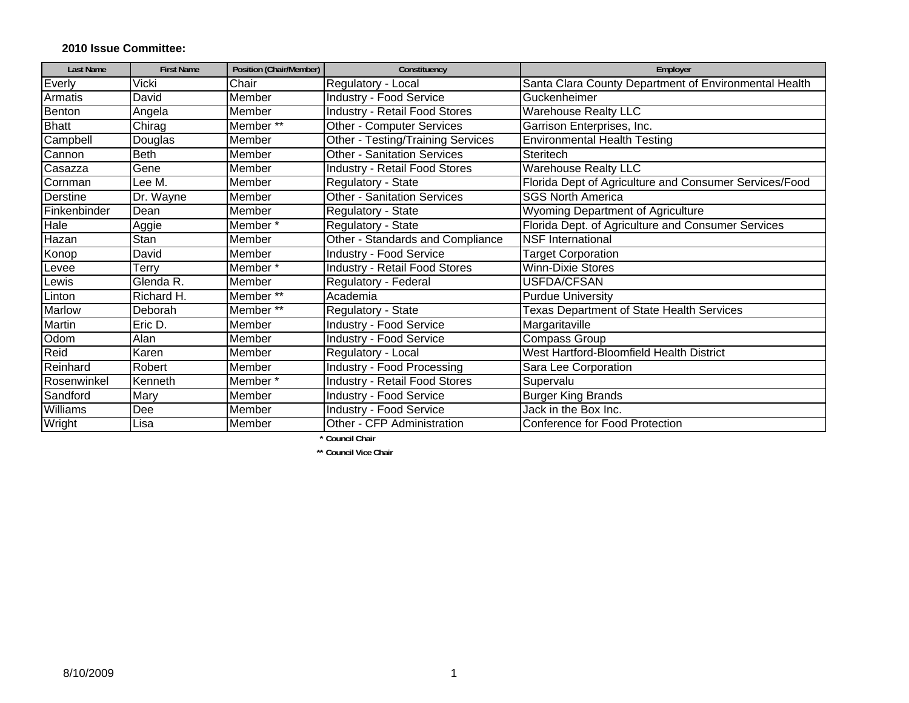## **2010 Issue Committee:**

| <b>Last Name</b> | <b>First Name</b> | Position (Chair/Member) | Constituency                         | Employer                                               |
|------------------|-------------------|-------------------------|--------------------------------------|--------------------------------------------------------|
| Everly           | Vicki             | Chair                   | Regulatory - Local                   | Santa Clara County Department of Environmental Health  |
| Armatis          | David             | Member                  | <b>Industry - Food Service</b>       | Guckenheimer                                           |
| Benton           | Angela            | Member                  | <b>Industry - Retail Food Stores</b> | <b>Warehouse Realty LLC</b>                            |
| <b>Bhatt</b>     | Chirag            | Member <sup>**</sup>    | <b>Other - Computer Services</b>     | Garrison Enterprises, Inc.                             |
| Campbell         | Douglas           | Member                  | Other - Testing/Training Services    | <b>Environmental Health Testing</b>                    |
| Cannon           | <b>Beth</b>       | Member                  | <b>Other - Sanitation Services</b>   | Steritech                                              |
| Casazza          | Gene              | Member                  | <b>Industry - Retail Food Stores</b> | <b>Warehouse Realty LLC</b>                            |
| Cornman          | Lee M.            | Member                  | Regulatory - State                   | Florida Dept of Agriculture and Consumer Services/Food |
| Derstine         | Dr. Wayne         | Member                  | <b>Other - Sanitation Services</b>   | <b>SGS North America</b>                               |
| Finkenbinder     | Dean              | Member                  | Regulatory - State                   | Wyoming Department of Agriculture                      |
| Hale             | Aggie             | Member*                 | Regulatory - State                   | Florida Dept. of Agriculture and Consumer Services     |
| Hazan            | Stan              | Member                  | Other - Standards and Compliance     | <b>NSF</b> International                               |
| Konop            | David             | Member                  | <b>Industry - Food Service</b>       | <b>Target Corporation</b>                              |
| Levee            | Terry             | Member*                 | Industry - Retail Food Stores        | <b>Winn-Dixie Stores</b>                               |
| Lewis            | Glenda R.         | Member                  | Regulatory - Federal                 | <b>USFDA/CFSAN</b>                                     |
| Linton           | Richard H.        | Member <sup>**</sup>    | Academia                             | <b>Purdue University</b>                               |
| Marlow           | Deborah           | Member <sup>**</sup>    | Regulatory - State                   | <b>Texas Department of State Health Services</b>       |
| Martin           | Eric D.           | Member                  | Industry - Food Service              | Margaritaville                                         |
| Odom             | Alan              | Member                  | Industry - Food Service              | Compass Group                                          |
| Reid             | Karen             | Member                  | Regulatory - Local                   | West Hartford-Bloomfield Health District               |
| Reinhard         | Robert            | Member                  | Industry - Food Processing           | Sara Lee Corporation                                   |
| Rosenwinkel      | Kenneth           | Member*                 | <b>Industry - Retail Food Stores</b> | Supervalu                                              |
| Sandford         | Mary              | Member                  | Industry - Food Service              | <b>Burger King Brands</b>                              |
| Williams         | Dee               | Member                  | Industry - Food Service              | Jack in the Box Inc.                                   |
| Wright           | Lisa              | Member                  | Other - CFP Administration           | Conference for Food Protection                         |

**\* Council Chair** 

**\*\* Council Vice Chair**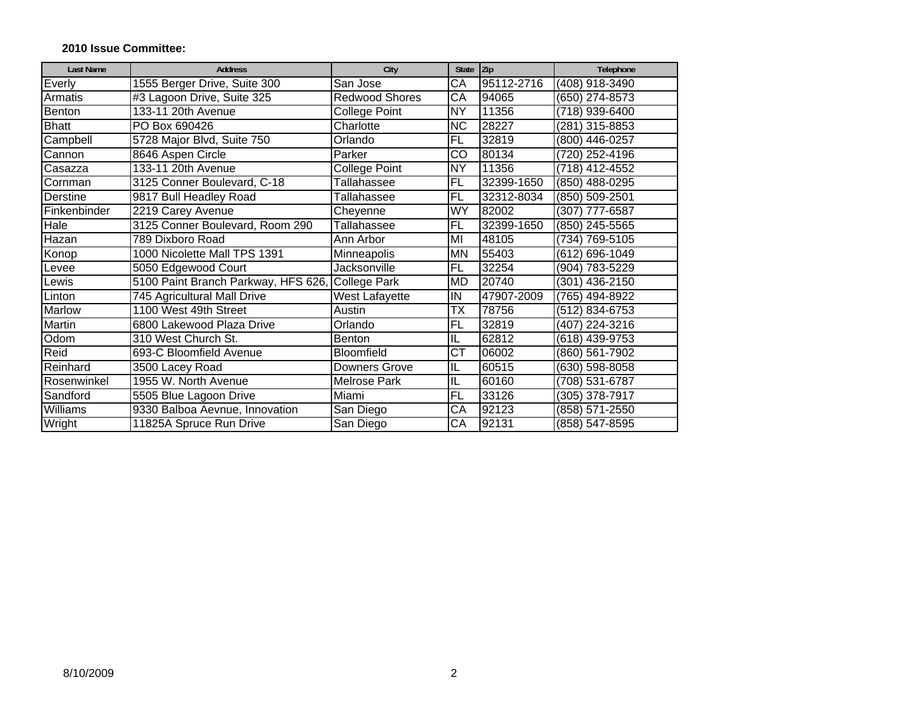## **2010 Issue Committee:**

| <b>Last Name</b> | <b>Address</b>                                   | City                 | State Zip              |            | Telephone        |
|------------------|--------------------------------------------------|----------------------|------------------------|------------|------------------|
| Everly           | 1555 Berger Drive, Suite 300                     | San Jose             | $\overline{\text{CA}}$ | 95112-2716 | (408) 918-3490   |
| Armatis          | #3 Lagoon Drive, Suite 325                       | Redwood Shores       | CA                     | 94065      | (650) 274-8573   |
| Benton           | 133-11 20th Avenue                               | College Point        | <b>NY</b>              | 11356      | (718) 939-6400   |
| <b>Bhatt</b>     | PO Box 690426                                    | Charlotte            | $\overline{NC}$        | 28227      | (281) 315-8853   |
| Campbell         | 5728 Major Blvd, Suite 750                       | Orlando              | <b>FL</b>              | 32819      | (800) 446-0257   |
| Cannon           | 8646 Aspen Circle                                | Parker               | CO                     | 80134      | (720) 252-4196   |
| Casazza          | 133-11 20th Avenue                               | <b>College Point</b> | <b>NY</b>              | 11356      | (718) 412-4552   |
| Cornman          | 3125 Conner Boulevard, C-18                      | Tallahassee          | <b>FL</b>              | 32399-1650 | (850) 488-0295   |
| Derstine         | 9817 Bull Headley Road                           | Tallahassee          | <b>FL</b>              | 32312-8034 | (850) 509-2501   |
| Finkenbinder     | 2219 Carey Avenue                                | Cheyenne             | WY                     | 82002      | (307) 777-6587   |
| Hale             | 3125 Conner Boulevard, Room 290                  | Tallahassee          | FL                     | 32399-1650 | (850) 245-5565   |
| Hazan            | 789 Dixboro Road                                 | Ann Arbor            | MI                     | 48105      | (734) 769-5105   |
| Konop            | 1000 Nicolette Mall TPS 1391                     | Minneapolis          | <b>MN</b>              | 55403      | (612) 696-1049   |
| Levee            | 5050 Edgewood Court                              | Jacksonville         | FL                     | 32254      | (904) 783-5229   |
| Lewis            | 5100 Paint Branch Parkway, HFS 626, College Park |                      | <b>MD</b>              | 20740      | (301) 436-2150   |
| Linton           | 745 Agricultural Mall Drive                      | West Lafayette       | IN                     | 47907-2009 | (765) 494-8922   |
| Marlow           | 1100 West 49th Street                            | Austin               | ТX                     | 78756      | (512) 834-6753   |
| <b>Martin</b>    | 6800 Lakewood Plaza Drive                        | Orlando              | FL                     | 32819      | (407) 224-3216   |
| Odom             | 310 West Church St.                              | <b>Benton</b>        | IL                     | 62812      | $(618)$ 439-9753 |
| Reid             | 693-C Bloomfield Avenue                          | <b>Bloomfield</b>    | $\overline{\text{CT}}$ | 06002      | (860) 561-7902   |
| Reinhard         | 3500 Lacey Road                                  | Downers Grove        | IL                     | 60515      | (630) 598-8058   |
| Rosenwinkel      | 1955 W. North Avenue                             | <b>Melrose Park</b>  | IL                     | 60160      | (708) 531-6787   |
| Sandford         | 5505 Blue Lagoon Drive                           | Miami                | <b>FL</b>              | 33126      | (305) 378-7917   |
| Williams         | 9330 Balboa Aevnue, Innovation                   | San Diego            | CA                     | 92123      | (858) 571-2550   |
| Wright           | 11825A Spruce Run Drive                          | San Diego            | СA                     | 92131      | (858) 547-8595   |